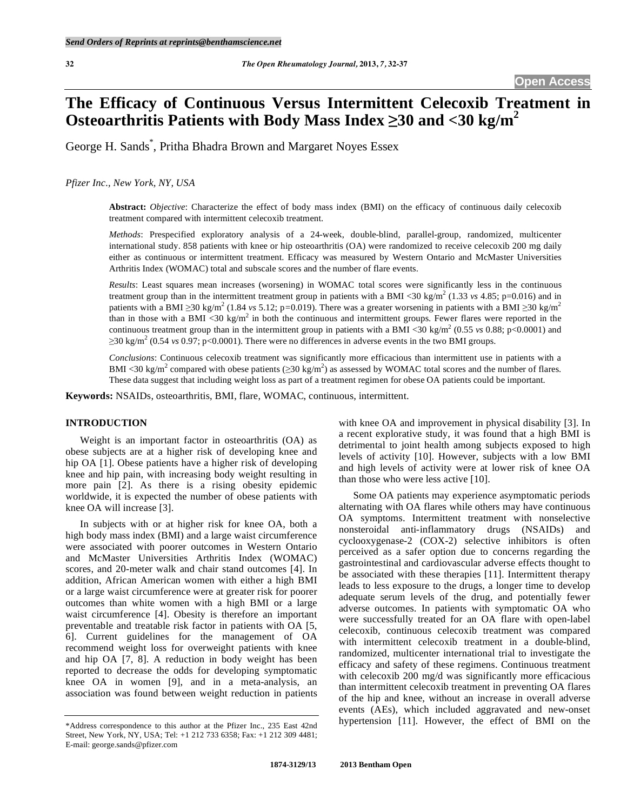# **The Efficacy of Continuous Versus Intermittent Celecoxib Treatment in Osteoarthritis Patients with Body Mass Index 30 and <30 kg/m2**

George H. Sands\* , Pritha Bhadra Brown and Margaret Noyes Essex

*Pfizer Inc., New York, NY, USA* 

**Abstract:** *Objective*: Characterize the effect of body mass index (BMI) on the efficacy of continuous daily celecoxib treatment compared with intermittent celecoxib treatment.

*Methods*: Prespecified exploratory analysis of a 24-week, double-blind, parallel-group, randomized, multicenter international study. 858 patients with knee or hip osteoarthritis (OA) were randomized to receive celecoxib 200 mg daily either as continuous or intermittent treatment. Efficacy was measured by Western Ontario and McMaster Universities Arthritis Index (WOMAC) total and subscale scores and the number of flare events.

*Results*: Least squares mean increases (worsening) in WOMAC total scores were significantly less in the continuous treatment group than in the intermittent treatment group in patients with a BMI <30 kg/m<sup>2</sup> (1.33 *vs* 4.85; p=0.016) and in patients with a BMI  $\geq$ 30 kg/m<sup>2</sup> (1.84 *vs* 5.12; p=0.019). There was a greater worsening in patients with a BMI  $\geq$ 30 kg/m<sup>2</sup> than in those with a BMI <30 kg/m<sup>2</sup> in both the continuous and intermittent groups. Fewer flares were reported in the continuous treatment group than in the intermittent group in patients with a BMI <30 kg/m<sup>2</sup> (0.55 *vs* 0.88; p<0.0001) and  $\geq$ 30 kg/m<sup>2</sup> (0.54 *vs* 0.97; p<0.0001). There were no differences in adverse events in the two BMI groups.

*Conclusions*: Continuous celecoxib treatment was significantly more efficacious than intermittent use in patients with a BMI <30 kg/m<sup>2</sup> compared with obese patients ( $\geq$ 30 kg/m<sup>2</sup>) as assessed by WOMAC total scores and the number of flares. These data suggest that including weight loss as part of a treatment regimen for obese OA patients could be important.

**Keywords:** NSAIDs, osteoarthritis, BMI, flare, WOMAC, continuous, intermittent.

# **INTRODUCTION**

 Weight is an important factor in osteoarthritis (OA) as obese subjects are at a higher risk of developing knee and hip OA [1]. Obese patients have a higher risk of developing knee and hip pain, with increasing body weight resulting in more pain [2]. As there is a rising obesity epidemic worldwide, it is expected the number of obese patients with knee OA will increase [3].

 In subjects with or at higher risk for knee OA, both a high body mass index (BMI) and a large waist circumference were associated with poorer outcomes in Western Ontario and McMaster Universities Arthritis Index (WOMAC) scores, and 20-meter walk and chair stand outcomes [4]. In addition, African American women with either a high BMI or a large waist circumference were at greater risk for poorer outcomes than white women with a high BMI or a large waist circumference [4]. Obesity is therefore an important preventable and treatable risk factor in patients with OA [5, 6]. Current guidelines for the management of OA recommend weight loss for overweight patients with knee and hip OA [7, 8]. A reduction in body weight has been reported to decrease the odds for developing symptomatic knee OA in women [9], and in a meta-analysis, an association was found between weight reduction in patients

with knee OA and improvement in physical disability [3]. In a recent explorative study, it was found that a high BMI is detrimental to joint health among subjects exposed to high levels of activity [10]. However, subjects with a low BMI and high levels of activity were at lower risk of knee OA than those who were less active [10].

 Some OA patients may experience asymptomatic periods alternating with OA flares while others may have continuous OA symptoms. Intermittent treatment with nonselective nonsteroidal anti-inflammatory drugs (NSAIDs) and cyclooxygenase-2 (COX-2) selective inhibitors is often perceived as a safer option due to concerns regarding the gastrointestinal and cardiovascular adverse effects thought to be associated with these therapies [11]. Intermittent therapy leads to less exposure to the drugs, a longer time to develop adequate serum levels of the drug, and potentially fewer adverse outcomes. In patients with symptomatic OA who were successfully treated for an OA flare with open-label celecoxib, continuous celecoxib treatment was compared with intermittent celecoxib treatment in a double-blind, randomized, multicenter international trial to investigate the efficacy and safety of these regimens. Continuous treatment with celecoxib 200 mg/d was significantly more efficacious than intermittent celecoxib treatment in preventing OA flares of the hip and knee, without an increase in overall adverse events (AEs), which included aggravated and new-onset hypertension [11]. However, the effect of BMI on the

<sup>\*</sup>Address correspondence to this author at the Pfizer Inc., 235 East 42nd Street, New York, NY, USA; Tel: +1 212 733 6358; Fax: +1 212 309 4481; E-mail: george.sands@pfizer.com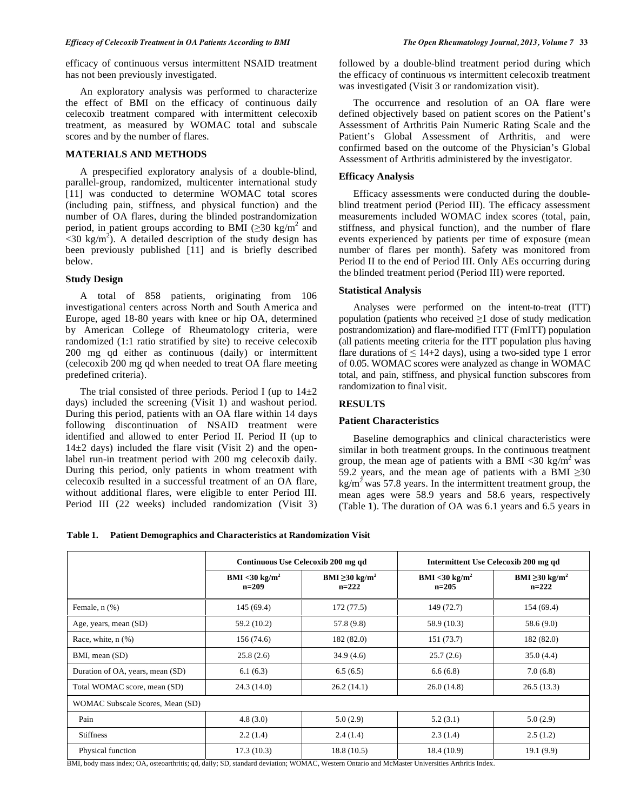efficacy of continuous versus intermittent NSAID treatment has not been previously investigated.

 An exploratory analysis was performed to characterize the effect of BMI on the efficacy of continuous daily celecoxib treatment compared with intermittent celecoxib treatment, as measured by WOMAC total and subscale scores and by the number of flares.

## **MATERIALS AND METHODS**

 A prespecified exploratory analysis of a double-blind, parallel-group, randomized, multicenter international study [11] was conducted to determine WOMAC total scores (including pain, stiffness, and physical function) and the number of OA flares, during the blinded postrandomization period, in patient groups according to BMI ( $\geq$ 30 kg/m<sup>2</sup> and  $\sim$  30 kg/m<sup>2</sup>). A detailed description of the study design has been previously published [11] and is briefly described below.

## **Study Design**

 A total of 858 patients, originating from 106 investigational centers across North and South America and Europe, aged 18-80 years with knee or hip OA, determined by American College of Rheumatology criteria, were randomized (1:1 ratio stratified by site) to receive celecoxib 200 mg qd either as continuous (daily) or intermittent (celecoxib 200 mg qd when needed to treat OA flare meeting predefined criteria).

The trial consisted of three periods. Period I (up to  $14\pm2$ ) days) included the screening (Visit 1) and washout period. During this period, patients with an OA flare within 14 days following discontinuation of NSAID treatment were identified and allowed to enter Period II. Period II (up to  $14\pm2$  days) included the flare visit (Visit 2) and the openlabel run-in treatment period with 200 mg celecoxib daily. During this period, only patients in whom treatment with celecoxib resulted in a successful treatment of an OA flare, without additional flares, were eligible to enter Period III. Period III (22 weeks) included randomization (Visit 3) followed by a double-blind treatment period during which the efficacy of continuous *vs* intermittent celecoxib treatment was investigated (Visit 3 or randomization visit).

 The occurrence and resolution of an OA flare were defined objectively based on patient scores on the Patient's Assessment of Arthritis Pain Numeric Rating Scale and the Patient's Global Assessment of Arthritis, and were confirmed based on the outcome of the Physician's Global Assessment of Arthritis administered by the investigator.

# **Efficacy Analysis**

 Efficacy assessments were conducted during the doubleblind treatment period (Period III). The efficacy assessment measurements included WOMAC index scores (total, pain, stiffness, and physical function), and the number of flare events experienced by patients per time of exposure (mean number of flares per month). Safety was monitored from Period II to the end of Period III. Only AEs occurring during the blinded treatment period (Period III) were reported.

## **Statistical Analysis**

 Analyses were performed on the intent-to-treat (ITT) population (patients who received  $\geq 1$  dose of study medication postrandomization) and flare-modified ITT (FmITT) population (all patients meeting criteria for the ITT population plus having flare durations of  $\leq 14+2$  days), using a two-sided type 1 error of 0.05. WOMAC scores were analyzed as change in WOMAC total, and pain, stiffness, and physical function subscores from randomization to final visit.

## **RESULTS**

### **Patient Characteristics**

 Baseline demographics and clinical characteristics were similar in both treatment groups. In the continuous treatment group, the mean age of patients with a BMI <30 kg/m<sup>2</sup> was 59.2 years, and the mean age of patients with a BMI  $\geq$ 30  $kg/m<sup>2</sup>$  was 57.8 years. In the intermittent treatment group, the mean ages were 58.9 years and 58.6 years, respectively (Table **1**). The duration of OA was 6.1 years and 6.5 years in

|  | Table 1. Patient Demographics and Characteristics at Randomization Visit |  |
|--|--------------------------------------------------------------------------|--|
|--|--------------------------------------------------------------------------|--|

|                                  |                                      | Continuous Use Celecoxib 200 mg qd         | Intermittent Use Celecoxib 200 mg qd |                                            |  |  |  |
|----------------------------------|--------------------------------------|--------------------------------------------|--------------------------------------|--------------------------------------------|--|--|--|
|                                  | $BMI < 30 \text{ kg/m}^2$<br>$n=209$ | BMI $\geq$ 30 kg/m <sup>2</sup><br>$n=222$ | $BMI < 30 \text{ kg/m}^2$<br>$n=205$ | BMI $\geq$ 30 kg/m <sup>2</sup><br>$n=222$ |  |  |  |
| Female, $n$ $(\%)$               | 145(69.4)                            | 172(77.5)                                  | 149 (72.7)                           | 154 (69.4)                                 |  |  |  |
| Age, years, mean (SD)            | 59.2 (10.2)                          | 57.8 (9.8)                                 | 58.9 (10.3)                          | 58.6(9.0)                                  |  |  |  |
| Race, white, $n$ $(\%)$          | 156 (74.6)                           | 182 (82.0)                                 | 151(73.7)                            | 182 (82.0)                                 |  |  |  |
| BMI, mean (SD)                   | 25.8(2.6)                            | 34.9(4.6)                                  | 25.7(2.6)                            | 35.0(4.4)                                  |  |  |  |
| Duration of OA, years, mean (SD) | 6.1(6.3)                             | 6.5(6.5)                                   | 6.6(6.8)                             | 7.0(6.8)                                   |  |  |  |
| Total WOMAC score, mean (SD)     | 24.3(14.0)                           | 26.2(14.1)                                 | 26.0(14.8)                           | 26.5(13.3)                                 |  |  |  |
| WOMAC Subscale Scores, Mean (SD) |                                      |                                            |                                      |                                            |  |  |  |
| Pain                             | 4.8(3.0)                             | 5.0(2.9)                                   | 5.2(3.1)                             | 5.0(2.9)                                   |  |  |  |
| <b>Stiffness</b>                 | 2.2(1.4)                             | 2.4(1.4)                                   | 2.3(1.4)                             | 2.5(1.2)                                   |  |  |  |
| Physical function                | 17.3(10.3)                           | 18.8(10.5)                                 | 18.4 (10.9)                          | 19.1(9.9)                                  |  |  |  |

BMI, body mass index; OA, osteoarthritis; qd, daily; SD, standard deviation; WOMAC, Western Ontario and McMaster Universities Arthritis Index.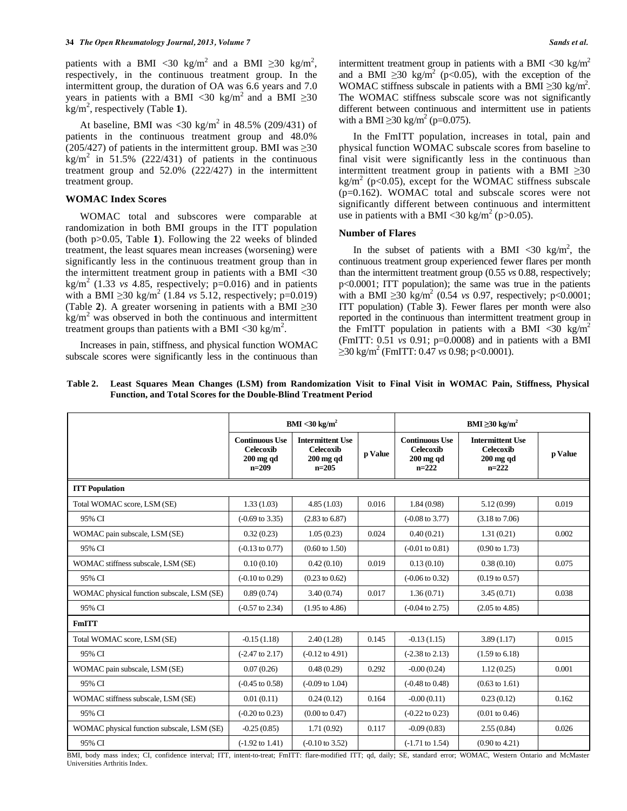patients with a BMI <30 kg/m<sup>2</sup> and a BMI  $\geq$ 30 kg/m<sup>2</sup>, respectively, in the continuous treatment group. In the intermittent group, the duration of OA was 6.6 years and 7.0 years in patients with a BMI <30 kg/m<sup>2</sup> and a BMI  $\geq$ 30 kg/m<sup>2</sup> , respectively (Table **1**).

At baseline, BMI was  $\langle 30 \text{ kg/m}^2 \rangle$  in 48.5% (209/431) of patients in the continuous treatment group and 48.0% (205/427) of patients in the intermittent group. BMI was  $\geq$ 30  $\text{kg/m}^2$  in 51.5% (222/431) of patients in the continuous treatment group and 52.0% (222/427) in the intermittent treatment group.

#### **WOMAC Index Scores**

 WOMAC total and subscores were comparable at randomization in both BMI groups in the ITT population (both p>0.05, Table **1**). Following the 22 weeks of blinded treatment, the least squares mean increases (worsening) were significantly less in the continuous treatment group than in the intermittent treatment group in patients with a BMI <30  $\text{kg/m}^2$  (1.33 *vs* 4.85, respectively;  $p=0.016$ ) and in patients with a BMI  $\geq$ 30 kg/m<sup>2</sup> (1.84 *vs* 5.12, respectively; p=0.019) (Table 2). A greater worsening in patients with a BMI  $\geq 30$  $\text{kg/m}^2$  was observed in both the continuous and intermittent treatment groups than patients with a BMI <30 kg/m<sup>2</sup>.

 Increases in pain, stiffness, and physical function WOMAC subscale scores were significantly less in the continuous than intermittent treatment group in patients with a BMI <30 kg/m<sup>2</sup> and a BMI  $\geq$ 30 kg/m<sup>2</sup> (p<0.05), with the exception of the WOMAC stiffness subscale in patients with a BMI  $\geq$ 30 kg/m<sup>2</sup>. The WOMAC stiffness subscale score was not significantly different between continuous and intermittent use in patients with a BMI  $\geq$ 30 kg/m<sup>2</sup> (p=0.075).

 In the FmITT population, increases in total, pain and physical function WOMAC subscale scores from baseline to final visit were significantly less in the continuous than intermittent treatment group in patients with a BMI  $\geq 30$ kg/m<sup>2</sup> (p<0.05), except for the WOMAC stiffness subscale (p=0.162). WOMAC total and subscale scores were not significantly different between continuous and intermittent use in patients with a BMI <30 kg/m<sup>2</sup> (p>0.05).

#### **Number of Flares**

In the subset of patients with a BMI <30 kg/m<sup>2</sup>, the continuous treatment group experienced fewer flares per month than the intermittent treatment group (0.55 *vs* 0.88, respectively; p<0.0001; ITT population); the same was true in the patients with a BMI  $\geq$ 30 kg/m<sup>2</sup> (0.54 *vs* 0.97, respectively; p<0.0001; ITT population) (Table **3**). Fewer flares per month were also reported in the continuous than intermittent treatment group in the FmITT population in patients with a BMI <30 kg/m<sup>2</sup> (FmITT: 0.51 *vs* 0.91; p=0.0008) and in patients with a BMI  $\geq$ 30 kg/m<sup>2</sup> (FmITT: 0.47 *vs* 0.98; p<0.0001).

| Table 2. Least Squares Mean Changes (LSM) from Randomization Visit to Final Visit in WOMAC Pain, Stiffness, Physical |  |  |
|----------------------------------------------------------------------------------------------------------------------|--|--|
| <b>Function, and Total Scores for the Double-Blind Treatment Period</b>                                              |  |  |

|                                            | $BMI < 30$ kg/m <sup>2</sup>                                        |                                                                       |         | BMI $\geq 30 \text{ kg/m}^2$                                        |                                                                       |         |  |
|--------------------------------------------|---------------------------------------------------------------------|-----------------------------------------------------------------------|---------|---------------------------------------------------------------------|-----------------------------------------------------------------------|---------|--|
|                                            | <b>Continuous Use</b><br><b>Celecoxib</b><br>$200$ mg qd<br>$n=209$ | <b>Intermittent Use</b><br><b>Celecoxib</b><br>$200$ mg qd<br>$n=205$ | p Value | <b>Continuous Use</b><br><b>Celecoxib</b><br>$200$ mg qd<br>$n=222$ | <b>Intermittent Use</b><br><b>Celecoxib</b><br>$200$ mg qd<br>$n=222$ | p Value |  |
| <b>ITT</b> Population                      |                                                                     |                                                                       |         |                                                                     |                                                                       |         |  |
| Total WOMAC score, LSM (SE)                | 1.33(1.03)                                                          | 4.85(1.03)                                                            | 0.016   | 1.84(0.98)                                                          | 5.12(0.99)                                                            | 0.019   |  |
| 95% CI                                     | $(-0.69 \text{ to } 3.35)$                                          | $(2.83 \text{ to } 6.87)$                                             |         | $(-0.08 \text{ to } 3.77)$                                          | $(3.18 \text{ to } 7.06)$                                             |         |  |
| WOMAC pain subscale, LSM (SE)              | 0.32(0.23)                                                          | 1.05(0.23)                                                            | 0.024   | 0.40(0.21)                                                          | 1.31(0.21)                                                            | 0.002   |  |
| 95% CI                                     | $(-0.13 \text{ to } 0.77)$                                          | $(0.60 \text{ to } 1.50)$                                             |         | $(-0.01 \text{ to } 0.81)$                                          | $(0.90 \text{ to } 1.73)$                                             |         |  |
| WOMAC stiffness subscale, LSM (SE)         | 0.10(0.10)                                                          | 0.42(0.10)                                                            | 0.019   | 0.13(0.10)                                                          | 0.38(0.10)                                                            | 0.075   |  |
| 95% CI                                     | $(-0.10 \text{ to } 0.29)$                                          | $(0.23 \text{ to } 0.62)$                                             |         | $(-0.06 \text{ to } 0.32)$                                          | $(0.19 \text{ to } 0.57)$                                             |         |  |
| WOMAC physical function subscale, LSM (SE) | 0.89(0.74)                                                          | 3.40(0.74)                                                            | 0.017   | 1.36(0.71)                                                          | 3.45(0.71)                                                            | 0.038   |  |
| 95% CI                                     | $(-0.57 \text{ to } 2.34)$                                          | $(1.95 \text{ to } 4.86)$                                             |         | $(-0.04 \text{ to } 2.75)$                                          | $(2.05 \text{ to } 4.85)$                                             |         |  |
| <b>FmITT</b>                               |                                                                     |                                                                       |         |                                                                     |                                                                       |         |  |
| Total WOMAC score, LSM (SE)                | $-0.15(1.18)$                                                       | 2.40(1.28)                                                            | 0.145   | $-0.13(1.15)$                                                       | 3.89(1.17)                                                            | 0.015   |  |
| 95% CI                                     | $(-2.47 \text{ to } 2.17)$                                          | $(-0.12 \text{ to } 4.91)$                                            |         | $(-2.38 \text{ to } 2.13)$                                          | $(1.59 \text{ to } 6.18)$                                             |         |  |
| WOMAC pain subscale, LSM (SE)              | 0.07(0.26)                                                          | 0.48(0.29)                                                            | 0.292   | $-0.00(0.24)$                                                       | 1.12(0.25)                                                            | 0.001   |  |
| 95% CI                                     | $(-0.45 \text{ to } 0.58)$                                          | $(-0.09 \text{ to } 1.04)$                                            |         | $(-0.48 \text{ to } 0.48)$                                          | $(0.63 \text{ to } 1.61)$                                             |         |  |
| WOMAC stiffness subscale, LSM (SE)         | 0.01(0.11)                                                          | 0.24(0.12)                                                            | 0.164   | $-0.00(0.11)$                                                       | 0.23(0.12)                                                            | 0.162   |  |
| 95% CI                                     | $(-0.20 \text{ to } 0.23)$                                          | $(0.00 \text{ to } 0.47)$                                             |         | $(-0.22 \text{ to } 0.23)$                                          | $(0.01 \text{ to } 0.46)$                                             |         |  |
| WOMAC physical function subscale, LSM (SE) | $-0.25(0.85)$                                                       | 1.71(0.92)                                                            | 0.117   | $-0.09(0.83)$                                                       | 2.55(0.84)                                                            | 0.026   |  |
| 95% CI                                     | $(-1.92 \text{ to } 1.41)$                                          | $(-0.10 \text{ to } 3.52)$                                            |         | $(-1.71 \text{ to } 1.54)$                                          | $(0.90 \text{ to } 4.21)$                                             |         |  |

BMI, body mass index; CI, confidence interval; ITT, intent-to-treat; FmITT: flare-modified ITT; qd, daily; SE, standard error; WOMAC, Western Ontario and McMaster Universities Arthritis Index.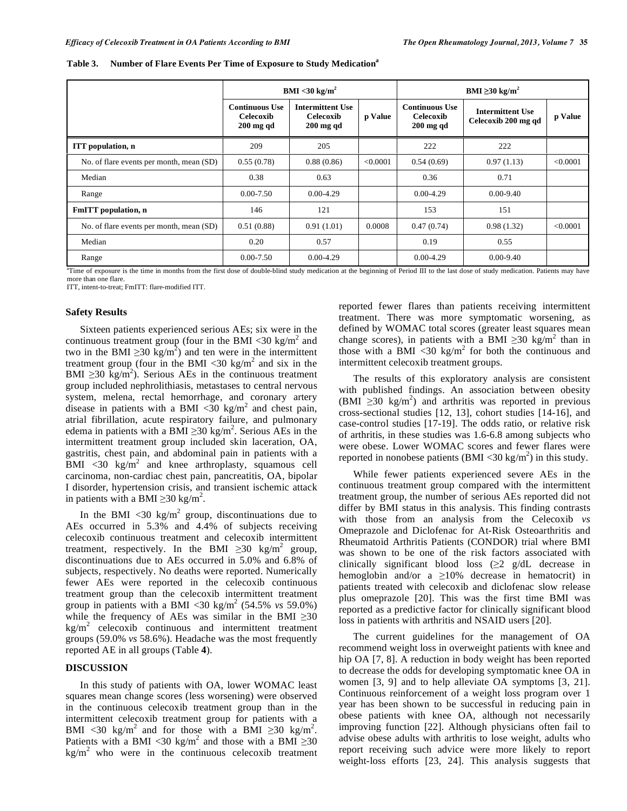|                                          | $BMI < 30 \text{ kg/m}^2$                         |                                                     |          | BMI $\geq$ 30 kg/m <sup>2</sup>                   |                                                |          |  |
|------------------------------------------|---------------------------------------------------|-----------------------------------------------------|----------|---------------------------------------------------|------------------------------------------------|----------|--|
|                                          | <b>Continuous Use</b><br>Celecoxib<br>$200$ mg qd | <b>Intermittent Use</b><br>Celecoxib<br>$200$ mg qd | p Value  | <b>Continuous Use</b><br>Celecoxib<br>$200$ mg qd | <b>Intermittent Use</b><br>Celecoxib 200 mg qd | p Value  |  |
| <b>ITT</b> population, n                 | 209                                               | 205                                                 |          | 222                                               | 222                                            |          |  |
| No. of flare events per month, mean (SD) | 0.55(0.78)                                        | 0.88(0.86)                                          | < 0.0001 | 0.54(0.69)                                        | 0.97(1.13)                                     | < 0.0001 |  |
| Median                                   | 0.38                                              | 0.63                                                |          | 0.36                                              | 0.71                                           |          |  |
| Range                                    | $0.00 - 7.50$                                     | $0.00 - 4.29$                                       |          | $0.00 - 4.29$                                     | $0.00 - 9.40$                                  |          |  |
| FmITT population, n                      | 146                                               | 121                                                 |          | 153                                               | 151                                            |          |  |
| No. of flare events per month, mean (SD) | 0.51(0.88)                                        | 0.91(1.01)                                          | 0.0008   | 0.47(0.74)                                        | 0.98(1.32)                                     | < 0.0001 |  |
| Median                                   | 0.20                                              | 0.57                                                |          | 0.19                                              | 0.55                                           |          |  |
| Range                                    | $0.00 - 7.50$                                     | $0.00 - 4.29$                                       |          | $0.00 - 4.29$                                     | $0.00 - 9.40$                                  |          |  |

Table 3. Number of Flare Events Per Time of Exposure to Study Medication<sup>a</sup>

<sup>a</sup>Time of exposure is the time in months from the first dose of double-blind study medication at the beginning of Period III to the last dose of study medication. Patients may have more than one flare.

ITT, intent-to-treat; FmITT: flare-modified ITT.

#### **Safety Results**

 Sixteen patients experienced serious AEs; six were in the continuous treatment group (four in the BMI <30 kg/m<sup>2</sup> and two in the BMI  $\geq$ 30 kg/m<sup>2</sup>) and ten were in the intermittent treatment group (four in the BMI <30 kg/m<sup>2</sup> and six in the BMI  $\geq$ 30 kg/m<sup>2</sup>). Serious AEs in the continuous treatment group included nephrolithiasis, metastases to central nervous system, melena, rectal hemorrhage, and coronary artery disease in patients with a BMI  $\langle 30 \text{ kg/m}^2 \rangle$  and chest pain, atrial fibrillation, acute respiratory failure, and pulmonary edema in patients with a BMI  $\geq$ 30 kg/m<sup>2</sup>. Serious AEs in the intermittent treatment group included skin laceration, OA, gastritis, chest pain, and abdominal pain in patients with a  $\overline{BMI}$  <30 kg/m<sup>2</sup> and knee arthroplasty, squamous cell carcinoma, non-cardiac chest pain, pancreatitis, OA, bipolar I disorder, hypertension crisis, and transient ischemic attack in patients with a BMI  $\geq$ 30 kg/m<sup>2</sup>.

In the BMI  $\langle 30 \text{ kg/m}^2 \text{ group}$ , discontinuations due to AEs occurred in 5.3% and 4.4% of subjects receiving celecoxib continuous treatment and celecoxib intermittent treatment, respectively. In the BMI  $\geq 30$  kg/m<sup>2</sup> group, discontinuations due to AEs occurred in 5.0% and 6.8% of subjects, respectively. No deaths were reported. Numerically fewer AEs were reported in the celecoxib continuous treatment group than the celecoxib intermittent treatment group in patients with a BMI <30 kg/m<sup>2</sup> (54.5% *vs* 59.0%) while the frequency of AEs was similar in the BMI  $\geq 30$  $\text{kg/m}^2$  celecoxib continuous and intermittent treatment groups (59.0% *vs* 58.6%). Headache was the most frequently reported AE in all groups (Table **4**).

## **DISCUSSION**

 In this study of patients with OA, lower WOMAC least squares mean change scores (less worsening) were observed in the continuous celecoxib treatment group than in the intermittent celecoxib treatment group for patients with a BMI <30 kg/m<sup>2</sup> and for those with a BMI  $\geq$ 30 kg/m<sup>2</sup>. Patients with a BMI <30 kg/m<sup>2</sup> and those with a BMI  $\geq$ 30  $kg/m<sup>2</sup>$  who were in the continuous celecoxib treatment

reported fewer flares than patients receiving intermittent treatment. There was more symptomatic worsening, as defined by WOMAC total scores (greater least squares mean change scores), in patients with a BMI  $\geq$ 30 kg/m<sup>2</sup> than in those with a BMI <30 kg/m<sup>2</sup> for both the continuous and intermittent celecoxib treatment groups.

 The results of this exploratory analysis are consistent with published findings. An association between obesity  $(BMI \ge 30 \text{ kg/m}^2)$  and arthritis was reported in previous cross-sectional studies [12, 13], cohort studies [14-16], and case-control studies [17-19]. The odds ratio, or relative risk of arthritis, in these studies was 1.6-6.8 among subjects who were obese. Lower WOMAC scores and fewer flares were reported in nonobese patients (BMI <30 kg/m<sup>2</sup>) in this study.

 While fewer patients experienced severe AEs in the continuous treatment group compared with the intermittent treatment group, the number of serious AEs reported did not differ by BMI status in this analysis. This finding contrasts with those from an analysis from the Celecoxib *vs* Omeprazole and Diclofenac for At-Risk Osteoarthritis and Rheumatoid Arthritis Patients (CONDOR) trial where BMI was shown to be one of the risk factors associated with clinically significant blood loss  $(\geq 2 \text{ g/dL})$  decrease in hemoglobin and/or a  $\geq 10\%$  decrease in hematocrit) in patients treated with celecoxib and diclofenac slow release plus omeprazole [20]. This was the first time BMI was reported as a predictive factor for clinically significant blood loss in patients with arthritis and NSAID users [20].

 The current guidelines for the management of OA recommend weight loss in overweight patients with knee and hip OA [7, 8]. A reduction in body weight has been reported to decrease the odds for developing symptomatic knee OA in women [3, 9] and to help alleviate OA symptoms [3, 21]. Continuous reinforcement of a weight loss program over 1 year has been shown to be successful in reducing pain in obese patients with knee OA, although not necessarily improving function [22]. Although physicians often fail to advise obese adults with arthritis to lose weight, adults who report receiving such advice were more likely to report weight-loss efforts [23, 24]. This analysis suggests that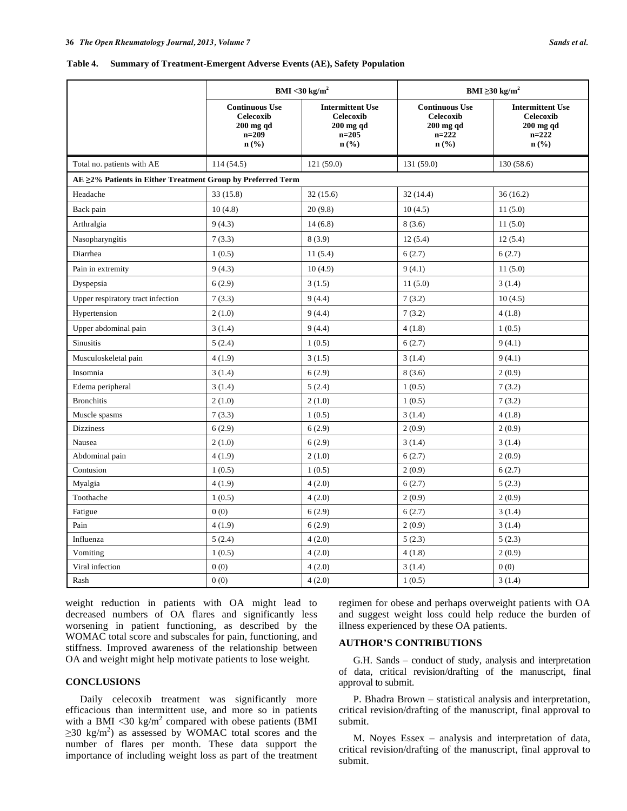#### **Table 4. Summary of Treatment-Emergent Adverse Events (AE), Safety Population**

|                                                             | BMI <30 kg/m <sup>2</sup>                                               |                                                                           | BMI $\geq$ 30 kg/m <sup>2</sup>                                                |                                                                             |  |
|-------------------------------------------------------------|-------------------------------------------------------------------------|---------------------------------------------------------------------------|--------------------------------------------------------------------------------|-----------------------------------------------------------------------------|--|
|                                                             | <b>Continuous Use</b><br>Celecoxib<br>$200$ mg qd<br>$n=209$<br>$n$ (%) | <b>Intermittent Use</b><br>Celecoxib<br>$200$ mg qd<br>$n=205$<br>$n$ (%) | <b>Continuous Use</b><br><b>Celecoxib</b><br>$200$ mg qd<br>$n=222$<br>$n$ (%) | <b>Intermittent Use</b><br>Celecoxib<br>$200$ mg qd<br>$n = 222$<br>$n$ (%) |  |
| Total no. patients with AE                                  | 114(54.5)                                                               | 121(59.0)                                                                 | 131 (59.0)                                                                     | 130(58.6)                                                                   |  |
| AE ≥2% Patients in Either Treatment Group by Preferred Term |                                                                         |                                                                           |                                                                                |                                                                             |  |
| Headache                                                    | 33 (15.8)                                                               | 32(15.6)                                                                  | 32(14.4)                                                                       | 36(16.2)                                                                    |  |
| Back pain                                                   | 10(4.8)                                                                 | 20(9.8)                                                                   | 10(4.5)                                                                        | 11(5.0)                                                                     |  |
| Arthralgia                                                  | 9(4.3)                                                                  | 14(6.8)                                                                   | 8(3.6)                                                                         | 11(5.0)                                                                     |  |
| Nasopharyngitis                                             | 7(3.3)                                                                  | 8(3.9)                                                                    | 12(5.4)                                                                        | 12(5.4)                                                                     |  |
| Diarrhea                                                    | 1(0.5)                                                                  | 11(5.4)                                                                   | 6(2.7)                                                                         | 6(2.7)                                                                      |  |
| Pain in extremity                                           | 9(4.3)                                                                  | 10(4.9)                                                                   | 9(4.1)                                                                         | 11(5.0)                                                                     |  |
| Dyspepsia                                                   | 6(2.9)                                                                  | 3(1.5)                                                                    | 11(5.0)                                                                        | 3(1.4)                                                                      |  |
| Upper respiratory tract infection                           | 7(3.3)                                                                  | 9(4.4)                                                                    | 7(3.2)                                                                         | 10(4.5)                                                                     |  |
| Hypertension                                                | 2(1.0)                                                                  | 9(4.4)                                                                    | 7(3.2)                                                                         | 4(1.8)                                                                      |  |
| Upper abdominal pain                                        | 3(1.4)                                                                  | 9(4.4)                                                                    | 4(1.8)                                                                         | 1(0.5)                                                                      |  |
| <b>Sinusitis</b>                                            | 5(2.4)                                                                  | 1(0.5)                                                                    | 6(2.7)                                                                         | 9(4.1)                                                                      |  |
| Musculoskeletal pain                                        | 4(1.9)                                                                  | 3(1.5)                                                                    | 3(1.4)                                                                         | 9(4.1)                                                                      |  |
| Insomnia                                                    | 3(1.4)                                                                  | 6(2.9)                                                                    | 8(3.6)                                                                         | 2(0.9)                                                                      |  |
| Edema peripheral                                            | 3(1.4)                                                                  | 5(2.4)                                                                    | 1(0.5)                                                                         | 7(3.2)                                                                      |  |
| <b>Bronchitis</b>                                           | 2(1.0)                                                                  | 2(1.0)                                                                    | 1(0.5)                                                                         | 7(3.2)                                                                      |  |
| Muscle spasms                                               | 7(3.3)                                                                  | 1(0.5)                                                                    | 3(1.4)                                                                         | 4(1.8)                                                                      |  |
| <b>Dizziness</b>                                            | 6(2.9)                                                                  | 6(2.9)                                                                    | 2(0.9)                                                                         | 2(0.9)                                                                      |  |
| Nausea                                                      | 2(1.0)                                                                  | 6(2.9)                                                                    | 3(1.4)                                                                         | 3(1.4)                                                                      |  |
| Abdominal pain                                              | 4(1.9)                                                                  | 2(1.0)                                                                    | 6(2.7)                                                                         | 2(0.9)                                                                      |  |
| Contusion                                                   | 1(0.5)                                                                  | 1(0.5)                                                                    | 2(0.9)                                                                         | 6(2.7)                                                                      |  |
| Myalgia                                                     | 4(1.9)                                                                  | 4(2.0)                                                                    | 6(2.7)                                                                         | 5(2.3)                                                                      |  |
| Toothache                                                   | 1(0.5)                                                                  | 4(2.0)                                                                    | 2(0.9)                                                                         | 2(0.9)                                                                      |  |
| Fatigue                                                     | 0(0)                                                                    | 6(2.9)                                                                    | 6(2.7)                                                                         | 3(1.4)                                                                      |  |
| Pain                                                        | 4(1.9)                                                                  | 6(2.9)                                                                    | 2(0.9)                                                                         | 3(1.4)                                                                      |  |
| Influenza                                                   | 5(2.4)                                                                  | 4(2.0)                                                                    | 5(2.3)                                                                         | 5(2.3)                                                                      |  |
| Vomiting                                                    | 1(0.5)                                                                  | 4(2.0)                                                                    | 4(1.8)                                                                         | 2(0.9)                                                                      |  |
| Viral infection                                             | 0(0)                                                                    | 4(2.0)                                                                    | 3(1.4)                                                                         | 0(0)                                                                        |  |
| Rash                                                        | 0(0)                                                                    | 4(2.0)                                                                    | 1(0.5)                                                                         | 3(1.4)                                                                      |  |

weight reduction in patients with OA might lead to decreased numbers of OA flares and significantly less worsening in patient functioning, as described by the WOMAC total score and subscales for pain, functioning, and stiffness. Improved awareness of the relationship between OA and weight might help motivate patients to lose weight.

# **CONCLUSIONS**

 Daily celecoxib treatment was significantly more efficacious than intermittent use, and more so in patients with a BMI <30 kg/m<sup>2</sup> compared with obese patients (BMI  $\geq$ 30 kg/m<sup>2</sup>) as assessed by WOMAC total scores and the number of flares per month. These data support the importance of including weight loss as part of the treatment

regimen for obese and perhaps overweight patients with OA and suggest weight loss could help reduce the burden of illness experienced by these OA patients.

# **AUTHOR'S CONTRIBUTIONS**

 G.H. Sands – conduct of study, analysis and interpretation of data, critical revision/drafting of the manuscript, final approval to submit.

 P. Bhadra Brown – statistical analysis and interpretation, critical revision/drafting of the manuscript, final approval to submit.

 M. Noyes Essex – analysis and interpretation of data, critical revision/drafting of the manuscript, final approval to submit.